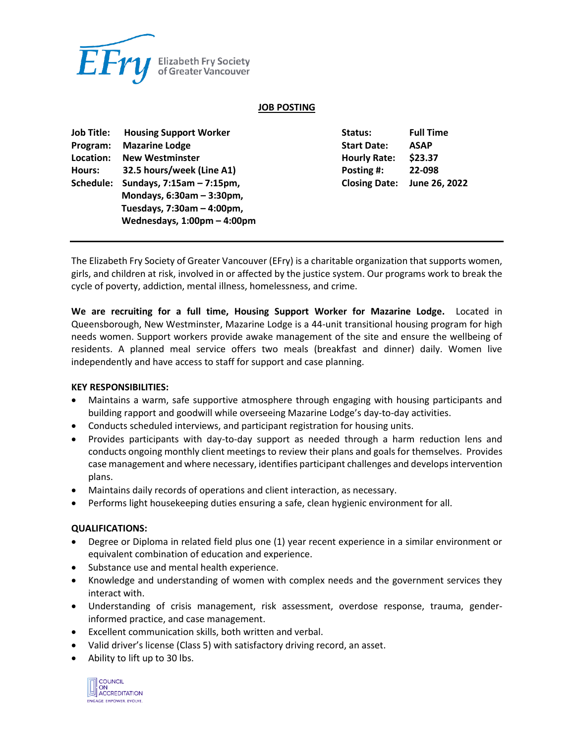

### **JOB POSTING**

| <b>Job Title:</b> | <b>Housing Support Worker</b> | Status:              | <b>Full Time</b> |
|-------------------|-------------------------------|----------------------|------------------|
| Program:          | <b>Mazarine Lodge</b>         | <b>Start Date:</b>   | <b>ASAP</b>      |
| Location:         | <b>New Westminster</b>        | <b>Hourly Rate:</b>  | \$23.37          |
| Hours:            | 32.5 hours/week (Line A1)     | Posting #:           | 22-098           |
| Schedule:         | Sundays, $7:15am - 7:15pm$ ,  | <b>Closing Date:</b> | June 26, 2022    |
|                   | Mondays, 6:30am - 3:30pm,     |                      |                  |
|                   | Tuesdays, 7:30am - 4:00pm,    |                      |                  |
|                   | Wednesdays, 1:00pm - 4:00pm   |                      |                  |
|                   |                               |                      |                  |

The Elizabeth Fry Society of Greater Vancouver (EFry) is a charitable organization that supports women, girls, and children at risk, involved in or affected by the justice system. Our programs work to break the cycle of poverty, addiction, mental illness, homelessness, and crime.

**We are recruiting for a full time, Housing Support Worker for Mazarine Lodge.** Located in Queensborough, New Westminster, Mazarine Lodge is a 44-unit transitional housing program for high needs women. Support workers provide awake management of the site and ensure the wellbeing of residents. A planned meal service offers two meals (breakfast and dinner) daily. Women live independently and have access to staff for support and case planning.

#### **KEY RESPONSIBILITIES:**

- Maintains a warm, safe supportive atmosphere through engaging with housing participants and building rapport and goodwill while overseeing Mazarine Lodge's day-to-day activities.
- Conducts scheduled interviews, and participant registration for housing units.
- Provides participants with day-to-day support as needed through a harm reduction lens and conducts ongoing monthly client meetings to review their plans and goals for themselves. Provides case management and where necessary, identifies participant challenges and develops intervention plans.
- Maintains daily records of operations and client interaction, as necessary.
- Performs light housekeeping duties ensuring a safe, clean hygienic environment for all.

#### **QUALIFICATIONS:**

- Degree or Diploma in related field plus one (1) year recent experience in a similar environment or equivalent combination of education and experience.
- Substance use and mental health experience.
- Knowledge and understanding of women with complex needs and the government services they interact with.
- Understanding of crisis management, risk assessment, overdose response, trauma, genderinformed practice, and case management.
- Excellent communication skills, both written and verbal.
- Valid driver's license (Class 5) with satisfactory driving record, an asset.
- Ability to lift up to 30 lbs.